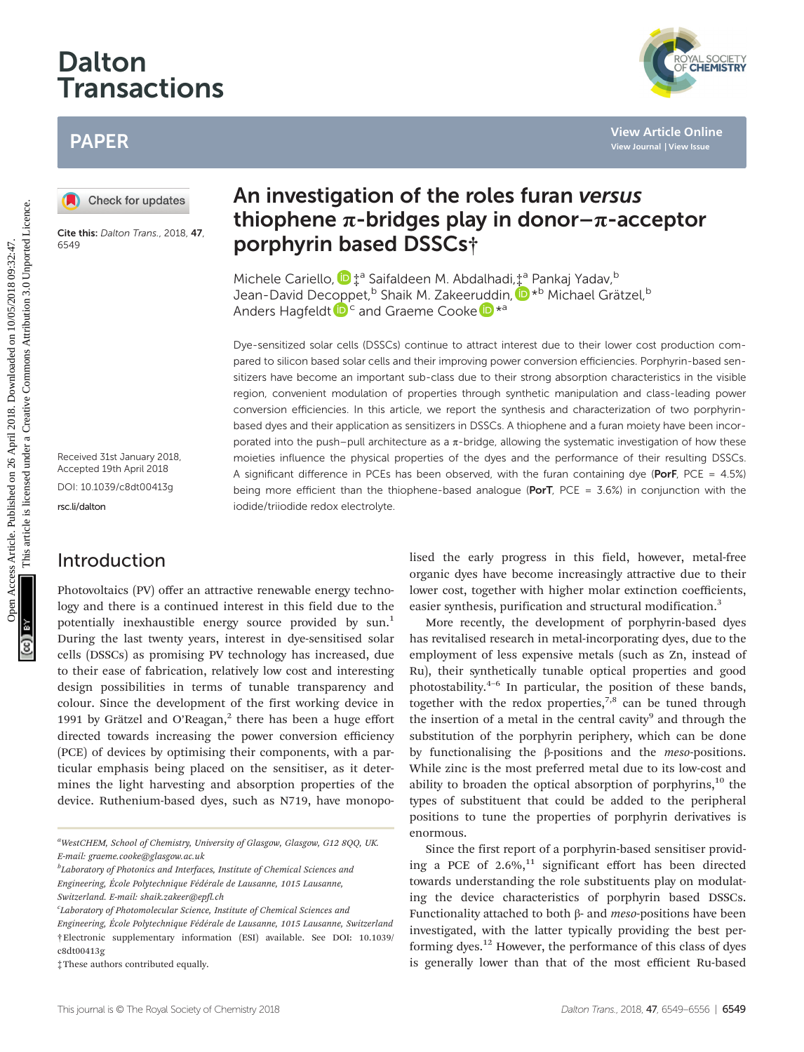# Dalton Transactions

## PAPER

Cite this: Dalton Trans., 2018, 47, 6549

Received 31st January 2018, Accepted 19th April 2018 DOI: 10.1039/c8dt00413g

[rsc.li/dalton](www.rsc.li/dalton)

### Introduction

Photovoltaics (PV) offer an attractive renewable energy technology and there is a continued interest in this field due to the potentially inexhaustible energy source provided by sun.<sup>1</sup> During the last twenty years, interest in dye-sensitised solar cells (DSSCs) as promising PV technology has increased, due to their ease of fabrication, relatively low cost and interesting design possibilities in terms of tunable transparency and colour. Since the development of the first working device in 1991 by Grätzel and O'Reagan, $<sup>2</sup>$  there has been a huge effort</sup> directed towards increasing the power conversion efficiency (PCE) of devices by optimising their components, with a particular emphasis being placed on the sensitiser, as it determines the light harvesting and absorption properties of the device. Ruthenium-based dyes, such as N719, have monopo-

<sup>a</sup>WestCHEM, School of Chemistry, University of Glasgow, Glasgow, G12 8QQ, UK. E-mail: graeme.cooke@glasgow.ac.uk

 $^b$ Laboratory of Photonics and Interfaces, Institute of Chemical Sciences and Engineering, École Polytechnique Fédérale de Lausanne, 1015 Lausanne,

Switzerland. E-mail: shaik.zakeer@epfl.ch

†Electronic supplementary information (ESI) available. See DOI: 10.1039/ c8dt00413g Engineering, École Polytechnique Fédérale de Lausanne, 1015 Lausanne, Switzerland

## An investigation of the roles furan versus thiophene  $\pi$ -bridges play in donor– $\pi$ -acceptor porphyrin based DSSCs†

Michele Cariello[,](http://orcid.org/0000-0003-0655-4744)  $\mathbf{D}^{\text{+a}}$  Saifaldeen M. Abdalhadi, $\mathbf{L}^{\text{a}}$  Pankaj Yadav, b Jean-David Dec[op](http://orcid.org/0000-0001-6725-8856)pet,<sup>b</sup> Shaik M. Zakeer[udd](http://orcid.org/0000-0003-0890-5720)in, D<sup>\*b</sup> Michael Grätzel, b Anders Hagfeldt  $\mathbf{D}^c$  and Graeme Cooke  $\mathbf{D}^{*a}$ 

Dye-sensitized solar cells (DSSCs) continue to attract interest due to their lower cost production compared to silicon based solar cells and their improving power conversion efficiencies. Porphyrin-based sensitizers have become an important sub-class due to their strong absorption characteristics in the visible region, convenient modulation of properties through synthetic manipulation and class-leading power conversion efficiencies. In this article, we report the synthesis and characterization of two porphyrinbased dyes and their application as sensitizers in DSSCs. A thiophene and a furan moiety have been incorporated into the push–pull architecture as a  $\pi$ -bridge, allowing the systematic investigation of how these moieties influence the physical properties of the dyes and the performance of their resulting DSSCs. A significant difference in PCEs has been observed, with the furan containing dye (PorF, PCE =  $4.5\%$ ) being more efficient than the thiophene-based analogue (PorT, PCE =  $3.6\%$ ) in conjunction with the iodide/triiodide redox electrolyte. PAPER<br> **(a)** Checkforupdates<br> **(a)** Checkforupdates<br> **EVALUATE CONDITE CONDITE CONDITE CONDITE CONDITE CONDITE CONDITE CONDITE CONDITE CONDITE CONDITE CONDITE CONDITE CONDITE CONDITE CONDITE CONDITE CONDITE CONDITE CONDIT** 

lised the early progress in this field, however, metal-free organic dyes have become increasingly attractive due to their lower cost, together with higher molar extinction coefficients, easier synthesis, purification and structural modification.<sup>3</sup>

More recently, the development of porphyrin-based dyes has revitalised research in metal-incorporating dyes, due to the employment of less expensive metals (such as Zn, instead of Ru), their synthetically tunable optical properties and good photostability. $4-6$  In particular, the position of these bands, together with the redox properties,<sup>7,8</sup> can be tuned through the insertion of a metal in the central cavity<sup>9</sup> and through the substitution of the porphyrin periphery, which can be done by functionalising the  $\beta$ -positions and the *meso*-positions. While zinc is the most preferred metal due to its low-cost and ability to broaden the optical absorption of porphyrins, $10$  the types of substituent that could be added to the peripheral positions to tune the properties of porphyrin derivatives is enormous.

Since the first report of a porphyrin-based sensitiser providing a PCE of  $2.6\%$ ,<sup>11</sup> significant effort has been directed towards understanding the role substituents play on modulating the device characteristics of porphyrin based DSSCs. Functionality attached to both  $β$ - and *meso*-positions have been investigated, with the latter typically providing the best performing dyes.12 However, the performance of this class of dyes is generally lower than that of the most efficient Ru-based



<sup>&</sup>lt;sup>c</sup>Laboratory of Photomolecular Science, Institute of Chemical Sciences and

<sup>‡</sup>These authors contributed equally.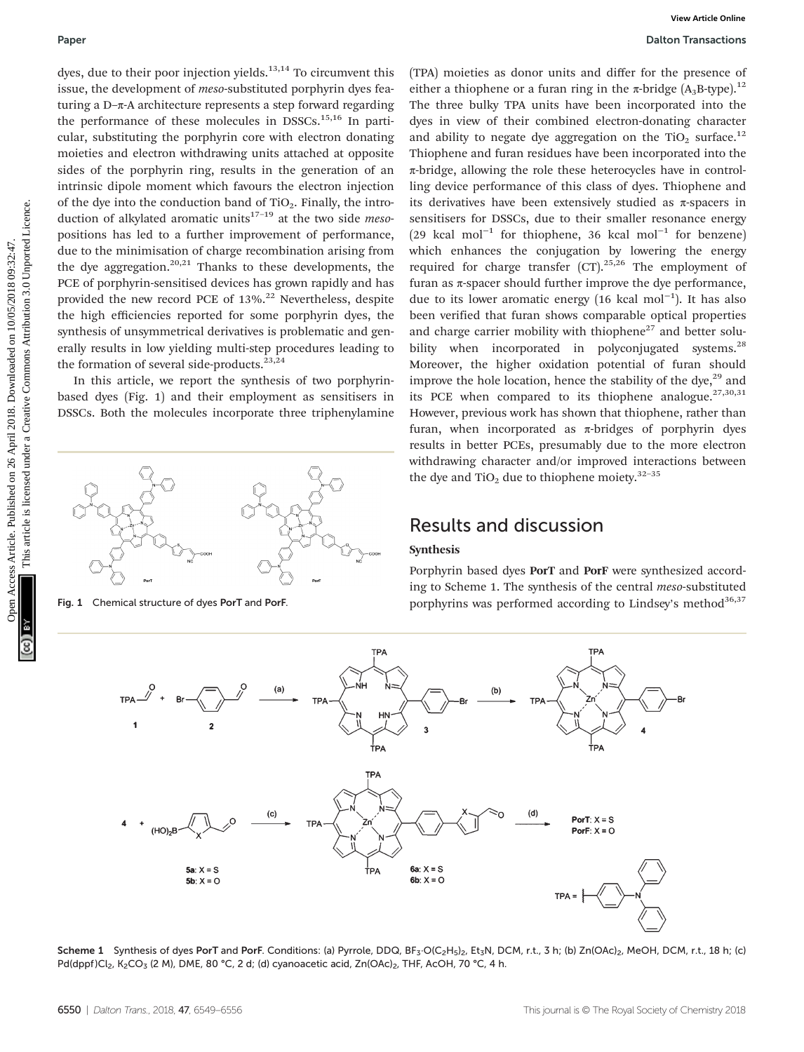dyes, due to their poor injection yields. $13,14$  To circumvent this issue, the development of meso-substituted porphyrin dyes featuring a D–π-A architecture represents a step forward regarding the performance of these molecules in DSSCs.<sup>15,16</sup> In particular, substituting the porphyrin core with electron donating moieties and electron withdrawing units attached at opposite sides of the porphyrin ring, results in the generation of an intrinsic dipole moment which favours the electron injection of the dye into the conduction band of  $TiO<sub>2</sub>$ . Finally, the introduction of alkylated aromatic units<sup>17-19</sup> at the two side *meso*positions has led to a further improvement of performance, due to the minimisation of charge recombination arising from the dye aggregation.<sup>20,21</sup> Thanks to these developments, the PCE of porphyrin-sensitised devices has grown rapidly and has provided the new record PCE of  $13\%$ .<sup>22</sup> Nevertheless, despite the high efficiencies reported for some porphyrin dyes, the synthesis of unsymmetrical derivatives is problematic and generally results in low yielding multi-step procedures leading to the formation of several side-products.<sup>23,24</sup>

In this article, we report the synthesis of two porphyrinbased dyes (Fig. 1) and their employment as sensitisers in DSSCs. Both the molecules incorporate three triphenylamine



(TPA) moieties as donor units and differ for the presence of either a thiophene or a furan ring in the  $\pi$ -bridge (A<sub>3</sub>B-type).<sup>12</sup> The three bulky TPA units have been incorporated into the dyes in view of their combined electron-donating character and ability to negate dye aggregation on the  $TiO<sub>2</sub>$  surface.<sup>12</sup> Thiophene and furan residues have been incorporated into the π-bridge, allowing the role these heterocycles have in controlling device performance of this class of dyes. Thiophene and its derivatives have been extensively studied as  $\pi$ -spacers in sensitisers for DSSCs, due to their smaller resonance energy (29 kcal mol<sup>-1</sup> for thiophene, 36 kcal mol<sup>-1</sup> for benzene) which enhances the conjugation by lowering the energy required for charge transfer  $(CT)$ .<sup>25,26</sup> The employment of furan as  $\pi$ -spacer should further improve the dye performance, due to its lower aromatic energy (16 kcal mol<sup>-1</sup>). It has also been verified that furan shows comparable optical properties and charge carrier mobility with thiophene $^{27}$  and better solubility when incorporated in polyconjugated systems.<sup>28</sup> Moreover, the higher oxidation potential of furan should improve the hole location, hence the stability of the dye, $^{29}$  and its PCE when compared to its thiophene analogue.<sup>27,30,31</sup> However, previous work has shown that thiophene, rather than furan, when incorporated as  $\pi$ -bridges of porphyrin dyes results in better PCEs, presumably due to the more electron withdrawing character and/or improved interactions between the dye and  $TiO<sub>2</sub>$  due to thiophene moiety.<sup>32–35</sup> Puper<br>
Open Access Article Computer on 2018. The constrained properties are determined to the computer on 10/03/2018. The constrained properties are determined to the common of the strength are determined to the common of

### Results and discussion

#### Synthesis

Porphyrin based dyes PorT and PorF were synthesized according to Scheme 1. The synthesis of the central meso-substituted Fig. 1 Chemical structure of dyes PorT and PorF. porphyrins was performed according to Lindsey's method<sup>36,37</sup>



Scheme 1 Synthesis of dyes PorT and PorF. Conditions: (a) Pyrrole, DDQ,  $BF_3$ ·O(C<sub>2</sub>H<sub>5</sub>)<sub>2</sub>, Et<sub>3</sub>N, DCM, r.t., 3 h; (b) Zn(OAc)<sub>2</sub>, MeOH, DCM, r.t., 18 h; (c) Pd(dppf)Cl<sub>2</sub>, K<sub>2</sub>CO<sub>3</sub> (2 M), DME, 80 °C, 2 d; (d) cyanoacetic acid, Zn(OAc)<sub>2</sub>, THF, AcOH, 70 °C, 4 h.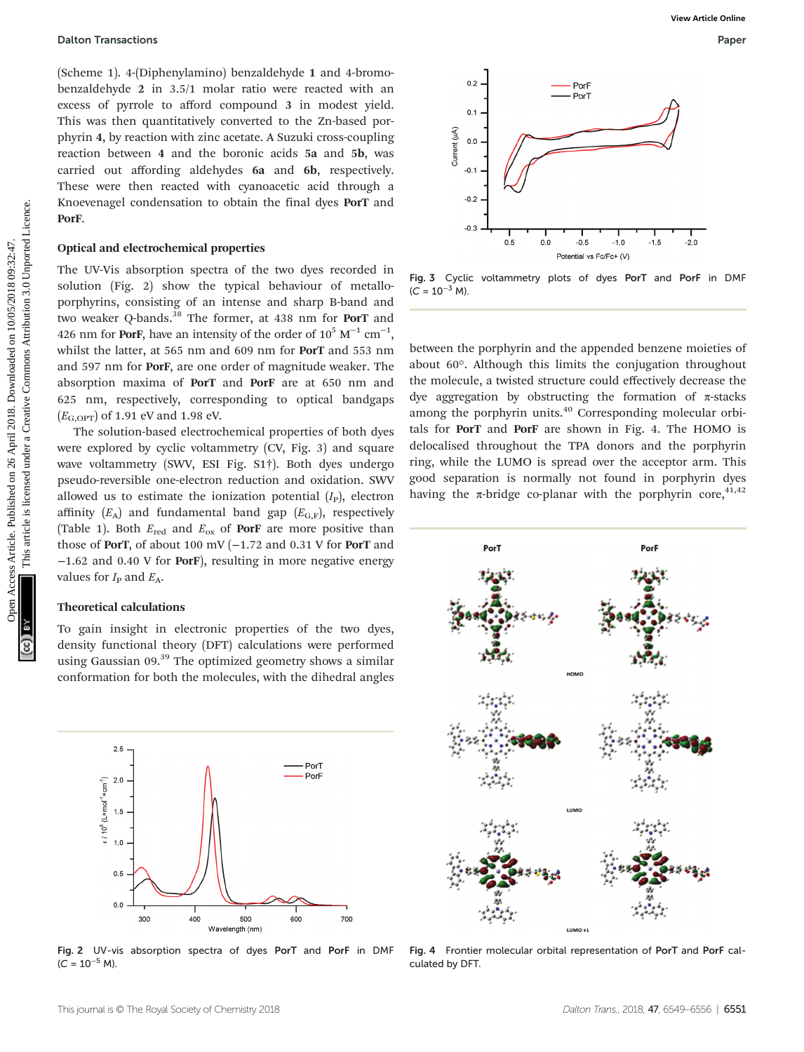(Scheme 1). 4-(Diphenylamino) benzaldehyde 1 and 4-bromobenzaldehyde 2 in 3.5/1 molar ratio were reacted with an excess of pyrrole to afford compound 3 in modest yield. This was then quantitatively converted to the Zn-based porphyrin 4, by reaction with zinc acetate. A Suzuki cross-coupling reaction between 4 and the boronic acids 5a and 5b, was carried out affording aldehydes 6a and 6b, respectively. These were then reacted with cyanoacetic acid through a Knoevenagel condensation to obtain the final dyes PorT and PorF.

#### Optical and electrochemical properties

The UV-Vis absorption spectra of the two dyes recorded in solution (Fig. 2) show the typical behaviour of metalloporphyrins, consisting of an intense and sharp B-band and two weaker Q-bands.<sup>38</sup> The former, at 438 nm for PorT and 426 nm for PorF, have an intensity of the order of  $10^5$  M<sup>-1</sup> cm<sup>-1</sup>, whilst the latter, at 565 nm and 609 nm for PorT and 553 nm and 597 nm for PorF, are one order of magnitude weaker. The absorption maxima of PorT and PorF are at 650 nm and 625 nm, respectively, corresponding to optical bandgaps  $(E_{\text{G,OPT}})$  of 1.91 eV and 1.98 eV.

The solution-based electrochemical properties of both dyes were explored by cyclic voltammetry (CV, Fig. 3) and square wave voltammetry (SWV, ESI Fig. S1†). Both dyes undergo pseudo-reversible one-electron reduction and oxidation. SWV allowed us to estimate the ionization potential  $(I<sub>P</sub>)$ , electron affinity  $(E_A)$  and fundamental band gap  $(E_{G,F})$ , respectively (Table 1). Both  $E_{\text{red}}$  and  $E_{\text{ox}}$  of **PorF** are more positive than those of PorT, of about 100 mV ( $-1.72$  and 0.31 V for PorT and −1.62 and 0.40 V for PorF), resulting in more negative energy values for  $I_P$  and  $E_A$ .

### Theoretical calculations

To gain insight in electronic properties of the two dyes, density functional theory (DFT) calculations were performed using Gaussian 09.<sup>39</sup> The optimized geometry shows a similar conformation for both the molecules, with the dihedral angles



Fig. 2 UV-vis absorption spectra of dyes PorT and PorF in DMF  $(C = 10^{-5} M).$ 



Fig. 3 Cyclic voltammetry plots of dyes PorT and PorF in DMF  $(C = 10^{-3} M)$ .

between the porphyrin and the appended benzene moieties of about 60°. Although this limits the conjugation throughout the molecule, a twisted structure could effectively decrease the dye aggregation by obstructing the formation of π-stacks among the porphyrin units.<sup>40</sup> Corresponding molecular orbitals for PorT and PorF are shown in Fig. 4. The HOMO is delocalised throughout the TPA donors and the porphyrin ring, while the LUMO is spread over the acceptor arm. This good separation is normally not found in porphyrin dyes having the  $\pi$ -bridge co-planar with the porphyrin core,<sup>41,42</sup>



Fig. 4 Frontier molecular orbital representation of PorT and PorF calculated by DFT.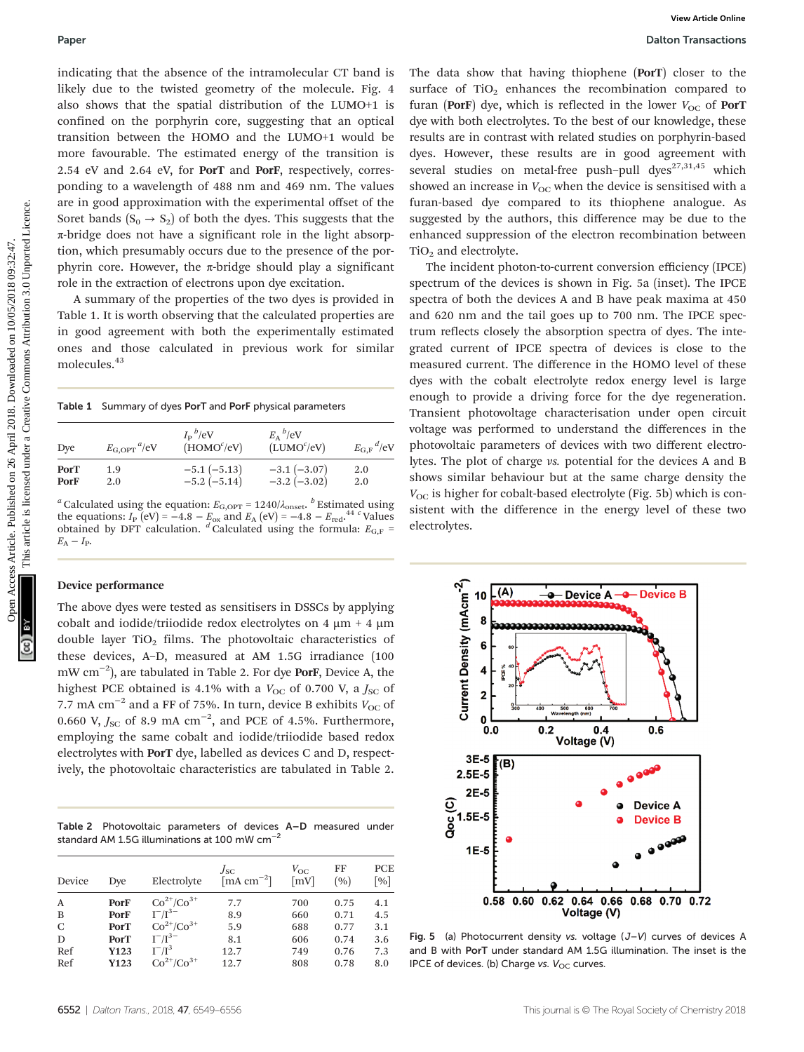indicating that the absence of the intramolecular CT band is likely due to the twisted geometry of the molecule. Fig. 4 also shows that the spatial distribution of the LUMO+1 is confined on the porphyrin core, suggesting that an optical transition between the HOMO and the LUMO+1 would be more favourable. The estimated energy of the transition is 2.54 eV and 2.64 eV, for PorT and PorF, respectively, corresponding to a wavelength of 488 nm and 469 nm. The values are in good approximation with the experimental offset of the Soret bands  $(S_0 \rightarrow S_2)$  of both the dyes. This suggests that the π-bridge does not have a significant role in the light absorption, which presumably occurs due to the presence of the porphyrin core. However, the  $\pi$ -bridge should play a significant role in the extraction of electrons upon dye excitation.

A summary of the properties of the two dyes is provided in Table 1. It is worth observing that the calculated properties are in good agreement with both the experimentally estimated ones and those calculated in previous work for similar molecules.<sup>43</sup>

Table 1 Summary of dyes PorT and PorF physical parameters

| Dye         | $E_{\rm G,OPT}$ <sup><i>u</i></sup> /eV | $I_{\rm p}{}^b /$ eV<br>(HOMO <sup>c</sup> /eV) | $E_A{}^b/eV$<br>(LUMO <sup>c</sup> /eV) | $E_{\text{G,F}}^{\dagger}$ /eV |
|-------------|-----------------------------------------|-------------------------------------------------|-----------------------------------------|--------------------------------|
| <b>PorT</b> | 1.9                                     | $-5.1(-5.13)$                                   | $-3.1(-3.07)$                           | 2.0                            |
| PorF        | 2.0                                     | $-5.2(-5.14)$                                   | $-3.2$ ( $-3.02$ )                      | 2.0                            |

<sup>a</sup> Calculated using the equation:  $E_{\text{G,OPT}} = 1240/\lambda_{\text{onset}}$ <sup>b</sup> Estimated using the equations:  $I_P$  (eV) = -4.8 –  $E_{\text{ox}}$  and  $E_A$  (eV) = -4.8 –  $E_{\text{red}}$ . <sup>44 c</sup> Values obtained by DFT calculation.  $\frac{d}{d}$  Calculated using the formula:  $E_{\text{G,F}}$  =  $E_{\rm A}-I_{\rm P}$ .

#### Device performance

The above dyes were tested as sensitisers in DSSCs by applying cobalt and iodide/triiodide redox electrolytes on  $4 \mu m + 4 \mu m$ double layer  $TiO<sub>2</sub>$  films. The photovoltaic characteristics of these devices, A–D, measured at AM 1.5G irradiance (100 mW cm−<sup>2</sup> ), are tabulated in Table 2. For dye PorF, Device A, the highest PCE obtained is 4.1% with a  $V_{\text{OC}}$  of 0.700 V, a  $J_{\text{SC}}$  of 7.7 mA cm<sup>-2</sup> and a FF of 75%. In turn, device B exhibits  $V_{\text{OC}}$  of 0.660 V,  $J_{\rm SC}$  of 8.9 mA  $\rm cm^{-2}$ , and PCE of 4.5%. Furthermore, employing the same cobalt and iodide/triiodide based redox electrolytes with PorT dye, labelled as devices C and D, respectively, the photovoltaic characteristics are tabulated in Table 2.

Table 2 Photovoltaic parameters of devices A–D measured under standard AM 1.5G illuminations at 100 mW cm−<sup>2</sup>

| Device | Dye         | Electrolyte       | Jsc<br>$\left[\text{mA cm}^{-2}\right]$ | $V_{OC}$<br>$\lceil mV \rceil$ | FF<br>(9) | PCE<br>$\lceil \% \rceil$ |
|--------|-------------|-------------------|-----------------------------------------|--------------------------------|-----------|---------------------------|
| A      | PorF        | $Co^{2+}/Co^{3+}$ | 7.7                                     | 700                            | 0.75      | 4.1                       |
| B      | PorF        | $I^{-}/I^{3-}$    | 8.9                                     | 660                            | 0.71      | 4.5                       |
| C      | <b>PorT</b> | $Co^{2+}/Co^{3+}$ | 5.9                                     | 688                            | 0.77      | 3.1                       |
| D      | <b>PorT</b> | $I^{-}/I^{3-}$    | 8.1                                     | 606                            | 0.74      | 3.6                       |
| Ref    | Y123        | $I^{-}/I^{3}$     | 12.7                                    | 749                            | 0.76      | 7.3                       |
| Ref    | Y123        | $Co^{2+}/Co^{3+}$ | 12.7                                    | 808                            | 0.78      | 8.0                       |

The data show that having thiophene (PorT) closer to the surface of  $TiO<sub>2</sub>$  enhances the recombination compared to furan (PorF) dye, which is reflected in the lower  $V_{\text{OC}}$  of PorT dye with both electrolytes. To the best of our knowledge, these results are in contrast with related studies on porphyrin-based dyes. However, these results are in good agreement with several studies on metal-free push-pull dyes<sup>27,31,45</sup> which showed an increase in  $V_{OC}$  when the device is sensitised with a furan-based dye compared to its thiophene analogue. As suggested by the authors, this difference may be due to the enhanced suppression of the electron recombination between TiO<sub>2</sub> and electrolyte.

The incident photon-to-current conversion efficiency (IPCE) spectrum of the devices is shown in Fig. 5a (inset). The IPCE spectra of both the devices A and B have peak maxima at 450 and 620 nm and the tail goes up to 700 nm. The IPCE spectrum reflects closely the absorption spectra of dyes. The integrated current of IPCE spectra of devices is close to the measured current. The difference in the HOMO level of these dyes with the cobalt electrolyte redox energy level is large enough to provide a driving force for the dye regeneration. Transient photovoltage characterisation under open circuit voltage was performed to understand the differences in the photovoltaic parameters of devices with two different electrolytes. The plot of charge vs. potential for the devices A and B shows similar behaviour but at the same charge density the  $V_{\text{OC}}$  is higher for cobalt-based electrolyte (Fig. 5b) which is consistent with the difference in the energy level of these two electrolytes. Paper<br>
indicating that the boson of the intermedicality of Particles. Published on 2018. Downloaded on 2018. The state of the state of the state of the state of the state of the state of the state of the state of the stat



Fig. 5 (a) Photocurrent density vs. voltage  $(J-V)$  curves of devices A and B with PorT under standard AM 1.5G illumination. The inset is the IPCE of devices. (b) Charge vs.  $V_{OC}$  curves.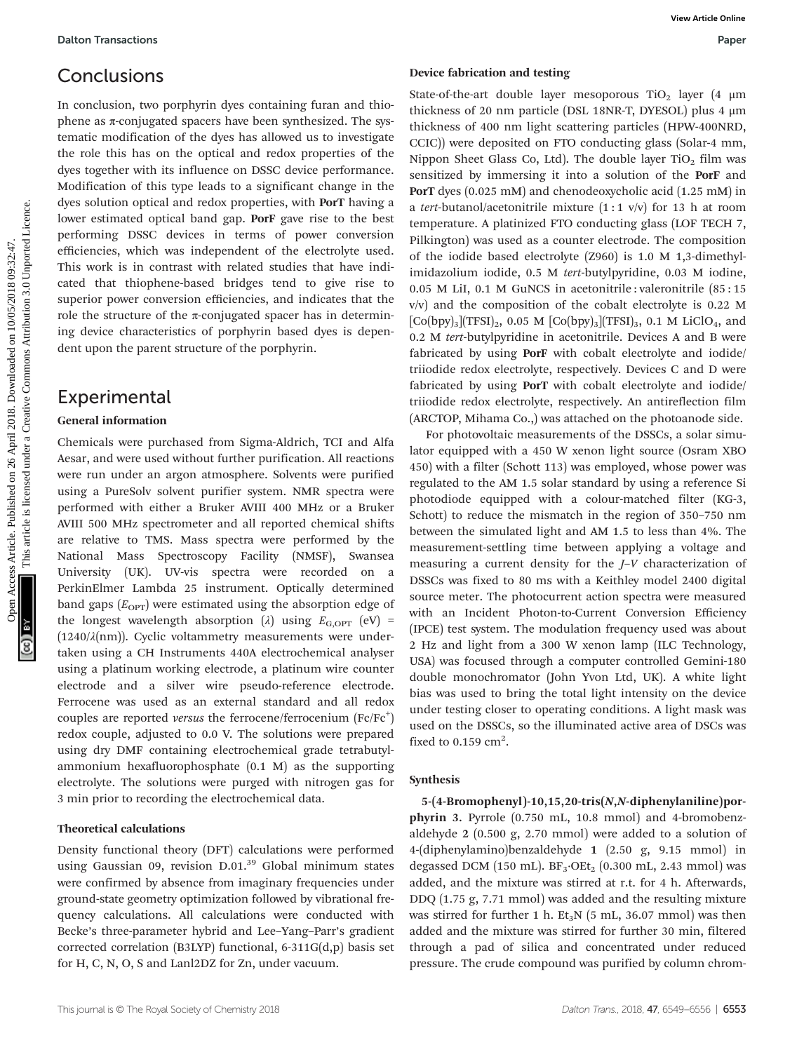### **Conclusions**

In conclusion, two porphyrin dyes containing furan and thiophene as  $π$ -conjugated spacers have been synthesized. The systematic modification of the dyes has allowed us to investigate the role this has on the optical and redox properties of the dyes together with its influence on DSSC device performance. Modification of this type leads to a significant change in the dyes solution optical and redox properties, with PorT having a lower estimated optical band gap. PorF gave rise to the best performing DSSC devices in terms of power conversion efficiencies, which was independent of the electrolyte used. This work is in contrast with related studies that have indicated that thiophene-based bridges tend to give rise to superior power conversion efficiencies, and indicates that the role the structure of the  $\pi$ -conjugated spacer has in determining device characteristics of porphyrin based dyes is dependent upon the parent structure of the porphyrin.

### Experimental

#### General information

Chemicals were purchased from Sigma-Aldrich, TCI and Alfa Aesar, and were used without further purification. All reactions were run under an argon atmosphere. Solvents were purified using a PureSolv solvent purifier system. NMR spectra were performed with either a Bruker AVIII 400 MHz or a Bruker AVIII 500 MHz spectrometer and all reported chemical shifts are relative to TMS. Mass spectra were performed by the National Mass Spectroscopy Facility (NMSF), Swansea University (UK). UV-vis spectra were recorded on a PerkinElmer Lambda 25 instrument. Optically determined band gaps  $(E_{\text{OPT}})$  were estimated using the absorption edge of the longest wavelength absorption ( $\lambda$ ) using  $E_{\text{G,OPT}}$  (eV) = ( $1240/\lambda$ (nm)). Cyclic voltammetry measurements were undertaken using a CH Instruments 440A electrochemical analyser using a platinum working electrode, a platinum wire counter electrode and a silver wire pseudo-reference electrode. Ferrocene was used as an external standard and all redox couples are reported versus the ferrocene/ferrocenium  $(Fc/Fc^+)$ redox couple, adjusted to 0.0 V. The solutions were prepared using dry DMF containing electrochemical grade tetrabutylammonium hexafluorophosphate (0.1 M) as the supporting electrolyte. The solutions were purged with nitrogen gas for 3 min prior to recording the electrochemical data.

#### Theoretical calculations

Density functional theory (DFT) calculations were performed using Gaussian 09, revision  $D.01<sup>39</sup>$  Global minimum states were confirmed by absence from imaginary frequencies under ground-state geometry optimization followed by vibrational frequency calculations. All calculations were conducted with Becke's three-parameter hybrid and Lee–Yang–Parr's gradient corrected correlation (B3LYP) functional, 6-311G(d,p) basis set for H, C, N, O, S and Lanl2DZ for Zn, under vacuum.

#### Device fabrication and testing

State-of-the-art double layer mesoporous TiO<sub>2</sub> layer (4  $\mu$ m thickness of 20 nm particle (DSL 18NR-T, DYESOL) plus 4 μm thickness of 400 nm light scattering particles (HPW-400NRD, CCIC)) were deposited on FTO conducting glass (Solar-4 mm, Nippon Sheet Glass Co, Ltd). The double layer  $TiO<sub>2</sub>$  film was sensitized by immersing it into a solution of the PorF and PorT dyes (0.025 mM) and chenodeoxycholic acid (1.25 mM) in a tert-butanol/acetonitrile mixture  $(1:1 \text{ v/v})$  for 13 h at room temperature. A platinized FTO conducting glass (LOF TECH 7, Pilkington) was used as a counter electrode. The composition of the iodide based electrolyte (Z960) is 1.0 M 1,3-dimethylimidazolium iodide, 0.5 M tert-butylpyridine, 0.03 M iodine, 0.05 M LiI, 0.1 M GuNCS in acetonitrile : valeronitrile (85 : 15 v/v) and the composition of the cobalt electrolyte is 0.22 M  $[Co(bpy)_{3}](TFSI)_{2}$ , 0.05 M  $[Co(bpy)_{3}](TFSI)_{3}$ , 0.1 M LiClO<sub>4</sub>, and 0.2 M tert-butylpyridine in acetonitrile. Devices A and B were fabricated by using **PorF** with cobalt electrolyte and iodide/ triiodide redox electrolyte, respectively. Devices C and D were fabricated by using PorT with cobalt electrolyte and iodide/ triiodide redox electrolyte, respectively. An antireflection film (ARCTOP, Mihama Co.,) was attached on the photoanode side. **Conclusions**<br> **Conclusion,** respective discussions and the simulated on 26 April 2018. The published on 26 April 2018. The published of the Criticis are commonly as a published on 26 April 2018. Downloaded on 26 April 20

For photovoltaic measurements of the DSSCs, a solar simulator equipped with a 450 W xenon light source (Osram XBO 450) with a filter (Schott 113) was employed, whose power was regulated to the AM 1.5 solar standard by using a reference Si photodiode equipped with a colour-matched filter (KG-3, Schott) to reduce the mismatch in the region of 350–750 nm between the simulated light and AM 1.5 to less than 4%. The measurement-settling time between applying a voltage and measuring a current density for the J–V characterization of DSSCs was fixed to 80 ms with a Keithley model 2400 digital source meter. The photocurrent action spectra were measured with an Incident Photon-to-Current Conversion Efficiency (IPCE) test system. The modulation frequency used was about 2 Hz and light from a 300 W xenon lamp (ILC Technology, USA) was focused through a computer controlled Gemini-180 double monochromator (John Yvon Ltd, UK). A white light bias was used to bring the total light intensity on the device under testing closer to operating conditions. A light mask was used on the DSSCs, so the illuminated active area of DSCs was fixed to  $0.159$  cm<sup>2</sup>.

#### Synthesis

5-(4-Bromophenyl )-10,15,20-tris(N,N-diphenylaniline)porphyrin 3. Pyrrole (0.750 mL, 10.8 mmol) and 4-bromobenzaldehyde 2 (0.500 g, 2.70 mmol) were added to a solution of 4-(diphenylamino)benzaldehyde 1 (2.50 g, 9.15 mmol) in degassed DCM (150 mL). BF<sub>3</sub>·OEt<sub>2</sub> (0.300 mL, 2.43 mmol) was added, and the mixture was stirred at r.t. for 4 h. Afterwards, DDQ (1.75 g, 7.71 mmol) was added and the resulting mixture was stirred for further 1 h.  $Et<sub>3</sub>N$  (5 mL, 36.07 mmol) was then added and the mixture was stirred for further 30 min, filtered through a pad of silica and concentrated under reduced pressure. The crude compound was purified by column chrom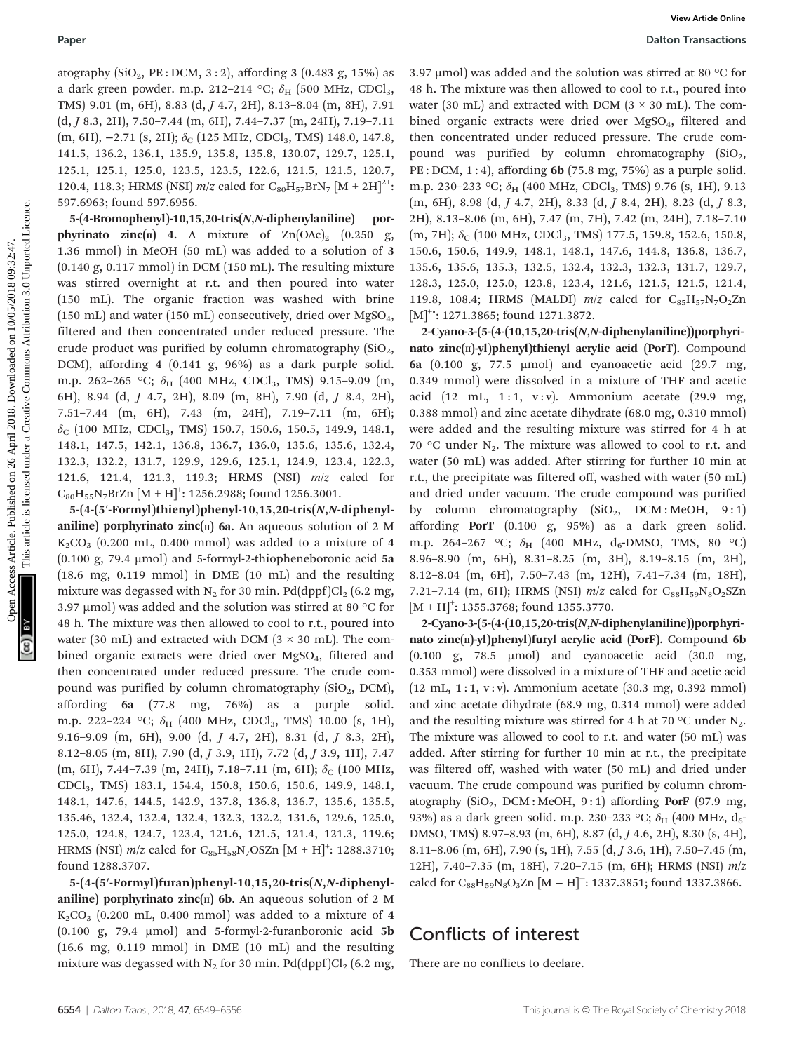atography  $(SiO<sub>2</sub>, PE : DCM, 3:2)$ , affording 3 (0.483 g, 15%) as a dark green powder. m.p. 212–214 °C;  $\delta_{\rm H}$  (500 MHz, CDCl<sub>3</sub>, TMS) 9.01 (m, 6H), 8.83 (d, J 4.7, 2H), 8.13–8.04 (m, 8H), 7.91 (d, J 8.3, 2H), 7.50–7.44 (m, 6H), 7.44–7.37 (m, 24H), 7.19–7.11 (m, 6H),  $-2.71$  (s, 2H);  $\delta$ <sub>C</sub> (125 MHz, CDCl<sub>3</sub>, TMS) 148.0, 147.8, 141.5, 136.2, 136.1, 135.9, 135.8, 135.8, 130.07, 129.7, 125.1, 125.1, 125.1, 125.0, 123.5, 123.5, 122.6, 121.5, 121.5, 120.7, 120.4, 118.3; HRMS (NSI)  $m/z$  calcd for  $C_{80}H_{57}BrN_7 [M + 2H]^{2+}$ : 597.6963; found 597.6956.

5-(4-Bromophenyl)-10,15,20-tris(N,N-diphenylaniline) porphyrinato zinc( $\pi$ ) 4. A mixture of Zn(OAc)<sub>2</sub> (0.250 g, 1.36 mmol) in MeOH (50 mL) was added to a solution of 3 (0.140 g, 0.117 mmol) in DCM (150 mL). The resulting mixture was stirred overnight at r.t. and then poured into water (150 mL). The organic fraction was washed with brine (150 mL) and water (150 mL) consecutively, dried over  $MgSO<sub>4</sub>$ , filtered and then concentrated under reduced pressure. The crude product was purified by column chromatography  $(SiO<sub>2</sub>,$ DCM), affording 4 (0.141 g, 96%) as a dark purple solid. m.p. 262-265 °C;  $\delta_H$  (400 MHz, CDCl<sub>3</sub>, TMS) 9.15-9.09 (m, 6H), 8.94 (d, J 4.7, 2H), 8.09 (m, 8H), 7.90 (d, J 8.4, 2H), 7.51–7.44 (m, 6H), 7.43 (m, 24H), 7.19–7.11 (m, 6H);  $\delta_c$  (100 MHz, CDCl<sub>3</sub>, TMS) 150.7, 150.6, 150.5, 149.9, 148.1, 148.1, 147.5, 142.1, 136.8, 136.7, 136.0, 135.6, 135.6, 132.4, 132.3, 132.2, 131.7, 129.9, 129.6, 125.1, 124.9, 123.4, 122.3, 121.6, 121.4, 121.3, 119.3; HRMS (NSI) m/z calcd for  $\rm{C_{80}H_{55}N_{7}BrZn}$   $\rm{[M+H]}^{+}:$  1256.2988; found 1256.3001. Public times Articles. Published on 26 April 2018. Download and the solution was stirred as on Common Harticles. The stirred article is licensed to the stirred and the stirred attention on 10/12/03/2018. The stirred artic

5-(4-(5′-Formyl )thienyl)phenyl-10,15,20-tris(N,N-diphenylaniline) porphyrinato zinc( $\pi$ ) 6a. An aqueous solution of 2 M  $K_2CO_3$  (0.200 mL, 0.400 mmol) was added to a mixture of 4 (0.100 g, 79.4 µmol) and 5-formyl-2-thiopheneboronic acid 5a (18.6 mg, 0.119 mmol) in DME (10 mL) and the resulting mixture was degassed with  $N_2$  for 30 min. Pd(dppf)Cl<sub>2</sub> (6.2 mg, 3.97 µmol) was added and the solution was stirred at 80 °C for 48 h. The mixture was then allowed to cool to r.t., poured into water (30 mL) and extracted with DCM ( $3 \times 30$  mL). The combined organic extracts were dried over MgSO<sub>4</sub>, filtered and then concentrated under reduced pressure. The crude compound was purified by column chromatography  $(SiO<sub>2</sub>, DCM)$ , affording 6a (77.8 mg, 76%) as a purple solid. m.p. 222–224 °C;  $\delta_{\rm H}$  (400 MHz, CDCl<sub>3</sub>, TMS) 10.00 (s, 1H), 9.16–9.09 (m, 6H), 9.00 (d, J 4.7, 2H), 8.31 (d, J 8.3, 2H), 8.12–8.05 (m, 8H), 7.90 (d, J 3.9, 1H), 7.72 (d, J 3.9, 1H), 7.47 (m, 6H), 7.44-7.39 (m, 24H), 7.18-7.11 (m, 6H);  $\delta$ <sub>C</sub> (100 MHz, CDCl3, TMS) 183.1, 154.4, 150.8, 150.6, 150.6, 149.9, 148.1, 148.1, 147.6, 144.5, 142.9, 137.8, 136.8, 136.7, 135.6, 135.5, 135.46, 132.4, 132.4, 132.4, 132.3, 132.2, 131.6, 129.6, 125.0, 125.0, 124.8, 124.7, 123.4, 121.6, 121.5, 121.4, 121.3, 119.6; HRMS (NSI)  $m/z$  calcd for C<sub>85</sub>H<sub>58</sub>N<sub>7</sub>OSZn [M + H]<sup>+</sup>: 1288.3710; found 1288.3707.

5-(4-(5′-Formyl)furan)phenyl-10,15,20-tris(N,N-diphenylaniline) porphyrinato zinc( $\pi$ ) 6b. An aqueous solution of 2 M  $K_2CO_3$  (0.200 mL, 0.400 mmol) was added to a mixture of 4 (0.100 g, 79.4  $\mu$ mol) and 5-formyl-2-furanboronic acid 5b (16.6 mg, 0.119 mmol) in DME (10 mL) and the resulting mixture was degassed with  $N_2$  for 30 min. Pd(dppf)Cl<sub>2</sub> (6.2 mg, 3.97  $\mu$ mol) was added and the solution was stirred at 80 °C for 48 h. The mixture was then allowed to cool to r.t., poured into water (30 mL) and extracted with DCM ( $3 \times 30$  mL). The combined organic extracts were dried over MgSO<sub>4</sub>, filtered and then concentrated under reduced pressure. The crude compound was purified by column chromatography  $(SiO<sub>2</sub>,$ PE : DCM, 1 : 4), affording 6b (75.8 mg, 75%) as a purple solid. m.p. 230–233 °C;  $\delta_H$  (400 MHz, CDCl<sub>3</sub>, TMS) 9.76 (s, 1H), 9.13 (m, 6H), 8.98 (d, J 4.7, 2H), 8.33 (d, J 8.4, 2H), 8.23 (d, J 8.3, 2H), 8.13–8.06 (m, 6H), 7.47 (m, 7H), 7.42 (m, 24H), 7.18–7.10  $(m, 7H); \delta_C$  (100 MHz, CDCl<sub>3</sub>, TMS) 177.5, 159.8, 152.6, 150.8, 150.6, 150.6, 149.9, 148.1, 148.1, 147.6, 144.8, 136.8, 136.7, 135.6, 135.6, 135.3, 132.5, 132.4, 132.3, 132.3, 131.7, 129.7, 128.3, 125.0, 125.0, 123.8, 123.4, 121.6, 121.5, 121.5, 121.4, 119.8, 108.4; HRMS (MALDI)  $m/z$  calcd for  $C_{85}H_{57}N_7O_2Zn$ [M]<sup>+•</sup>: 1271.3865; found 1271.3872.

2-Cyano-3- $(5-(4-(10,15,20\cdot tris(N,N\cdot diphenylaniline)))$ porphyrinato zinc(II)-yl)phenyl)thienyl acrylic acid (PorT). Compound 6a (0.100 g, 77.5 µmol) and cyanoacetic acid (29.7 mg, 0.349 mmol) were dissolved in a mixture of THF and acetic acid (12 mL, 1:1, v:v). Ammonium acetate (29.9 mg, 0.388 mmol) and zinc acetate dihydrate (68.0 mg, 0.310 mmol) were added and the resulting mixture was stirred for 4 h at 70 °C under  $N_2$ . The mixture was allowed to cool to r.t. and water (50 mL) was added. After stirring for further 10 min at r.t., the precipitate was filtered off, washed with water (50 mL) and dried under vacuum. The crude compound was purified by column chromatography  $(SiO<sub>2</sub>, DCM : MeOH, 9:1)$ affording PorT (0.100 g, 95%) as a dark green solid. m.p. 264-267 °C;  $\delta_H$  (400 MHz, d<sub>6</sub>-DMSO, TMS, 80 °C) 8.96–8.90 (m, 6H), 8.31–8.25 (m, 3H), 8.19–8.15 (m, 2H), 8.12–8.04 (m, 6H), 7.50–7.43 (m, 12H), 7.41–7.34 (m, 18H), 7.21-7.14 (m, 6H); HRMS (NSI)  $m/z$  calcd for C<sub>88</sub>H<sub>59</sub>N<sub>8</sub>O<sub>2</sub>SZn  $[M + H]$ <sup>+</sup>: 1355.3768; found 1355.3770.

2-Cyano-3-(5-(4-(10,15,20-tris(N,N-diphenylaniline))porphyrinato zinc $(n)$ -yl)phenyl)furyl acrylic acid (PorF). Compound 6b  $(0.100 \text{ g}, 78.5 \text{ \mu} \text{mol})$  and cyanoacetic acid  $(30.0 \text{ mg},$ 0.353 mmol) were dissolved in a mixture of THF and acetic acid (12 mL, 1 : 1, v : v). Ammonium acetate (30.3 mg, 0.392 mmol) and zinc acetate dihydrate (68.9 mg, 0.314 mmol) were added and the resulting mixture was stirred for 4 h at 70  $\degree$ C under N<sub>2</sub>. The mixture was allowed to cool to r.t. and water (50 mL) was added. After stirring for further 10 min at r.t., the precipitate was filtered off, washed with water (50 mL) and dried under vacuum. The crude compound was purified by column chromatography  $(SiO<sub>2</sub>, DCM : MeOH, 9:1)$  affording PorF (97.9 mg, 93%) as a dark green solid. m.p. 230-233 °C;  $\delta_{\rm H}$  (400 MHz, d<sub>6</sub>-DMSO, TMS) 8.97–8.93 (m, 6H), 8.87 (d, J 4.6, 2H), 8.30 (s, 4H), 8.11–8.06 (m, 6H), 7.90 (s, 1H), 7.55 (d, J 3.6, 1H), 7.50–7.45 (m, 12H), 7.40–7.35 (m, 18H), 7.20–7.15 (m, 6H); HRMS (NSI) m/z calcd for  $C_{88}H_{59}N_8O_3Zn$  [M – H]<sup>-</sup>: 1337.3851; found 1337.3866.

### Conflicts of interest

There are no conflicts to declare.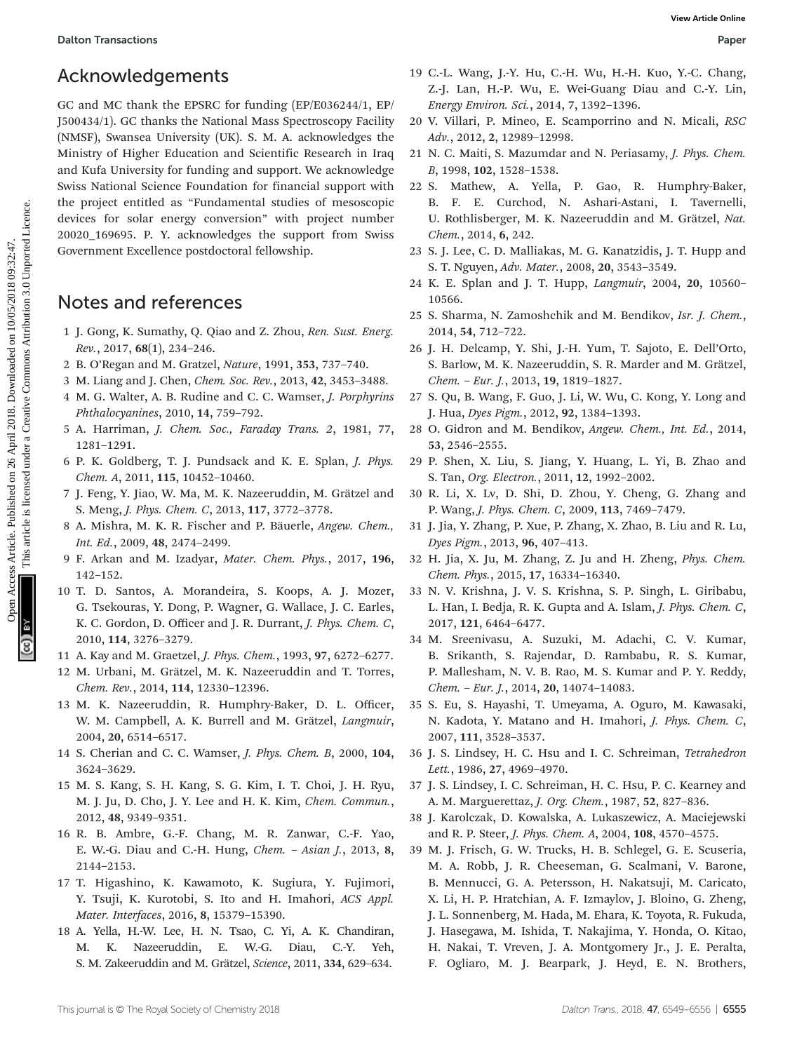### Acknowledgements

GC and MC thank the EPSRC for funding (EP/E036244/1, EP/ J500434/1). GC thanks the National Mass Spectroscopy Facility (NMSF), Swansea University (UK). S. M. A. acknowledges the Ministry of Higher Education and Scientific Research in Iraq and Kufa University for funding and support. We acknowledge Swiss National Science Foundation for financial support with the project entitled as "Fundamental studies of mesoscopic devices for solar energy conversion" with project number 20020\_169695. P. Y. acknowledges the support from Swiss Government Excellence postdoctoral fellowship. **Oben Tansielson**<br> **Acknowledgements**<br> **Can Auchines** Article. New Street Scheme Access Article. Published and Cov. The Synthern Home Cov. The Synthern Home Cover (1918) and Creative Synthern Home Cover (1918) and Can acc

### Notes and references

- 1 J. Gong, K. Sumathy, Q. Qiao and Z. Zhou, Ren. Sust. Energ. Rev., 2017, 68(1), 234–246.
- 2 B. O'Regan and M. Gratzel, Nature, 1991, 353, 737–740.
- 3 M. Liang and J. Chen, Chem. Soc. Rev., 2013, 42, 3453–3488.
- 4 M. G. Walter, A. B. Rudine and C. C. Wamser, J. Porphyrins Phthalocyanines, 2010, 14, 759–792.
- 5 A. Harriman, J. Chem. Soc., Faraday Trans. 2, 1981, 77, 1281–1291.
- 6 P. K. Goldberg, T. J. Pundsack and K. E. Splan, J. Phys. Chem. A, 2011, 115, 10452–10460.
- 7 J. Feng, Y. Jiao, W. Ma, M. K. Nazeeruddin, M. Grätzel and S. Meng, J. Phys. Chem. C, 2013, 117, 3772–3778.
- 8 A. Mishra, M. K. R. Fischer and P. Bäuerle, Angew. Chem., Int. Ed., 2009, 48, 2474–2499.
- 9 F. Arkan and M. Izadyar, Mater. Chem. Phys., 2017, 196, 142–152.
- 10 T. D. Santos, A. Morandeira, S. Koops, A. J. Mozer, G. Tsekouras, Y. Dong, P. Wagner, G. Wallace, J. C. Earles, K. C. Gordon, D. Officer and J. R. Durrant, J. Phys. Chem. C, 2010, 114, 3276–3279.
- 11 A. Kay and M. Graetzel, J. Phys. Chem., 1993, 97, 6272–6277.
- 12 M. Urbani, M. Grätzel, M. K. Nazeeruddin and T. Torres, Chem. Rev., 2014, 114, 12330–12396.
- 13 M. K. Nazeeruddin, R. Humphry-Baker, D. L. Officer, W. M. Campbell, A. K. Burrell and M. Grätzel, Langmuir, 2004, 20, 6514–6517.
- 14 S. Cherian and C. C. Wamser, J. Phys. Chem. B, 2000, 104, 3624–3629.
- 15 M. S. Kang, S. H. Kang, S. G. Kim, I. T. Choi, J. H. Ryu, M. J. Ju, D. Cho, J. Y. Lee and H. K. Kim, Chem. Commun., 2012, 48, 9349–9351.
- 16 R. B. Ambre, G.-F. Chang, M. R. Zanwar, C.-F. Yao, E. W.-G. Diau and C.-H. Hung, Chem. – Asian J., 2013, 8, 2144–2153.
- 17 T. Higashino, K. Kawamoto, K. Sugiura, Y. Fujimori, Y. Tsuji, K. Kurotobi, S. Ito and H. Imahori, ACS Appl. Mater. Interfaces, 2016, 8, 15379–15390.
- 18 A. Yella, H.-W. Lee, H. N. Tsao, C. Yi, A. K. Chandiran, M. K. Nazeeruddin, E. W.-G. Diau, C.-Y. Yeh, S. M. Zakeeruddin and M. Grätzel, Science, 2011, 334, 629–634.
- 19 C.-L. Wang, J.-Y. Hu, C.-H. Wu, H.-H. Kuo, Y.-C. Chang, Z.-J. Lan, H.-P. Wu, E. Wei-Guang Diau and C.-Y. Lin, Energy Environ. Sci., 2014, 7, 1392–1396.
- 20 V. Villari, P. Mineo, E. Scamporrino and N. Micali, RSC Adv., 2012, 2, 12989–12998.
- 21 N. C. Maiti, S. Mazumdar and N. Periasamy, J. Phys. Chem. B, 1998, 102, 1528–1538.
- 22 S. Mathew, A. Yella, P. Gao, R. Humphry-Baker, B. F. E. Curchod, N. Ashari-Astani, I. Tavernelli, U. Rothlisberger, M. K. Nazeeruddin and M. Grätzel, Nat. Chem., 2014, 6, 242.
- 23 S. J. Lee, C. D. Malliakas, M. G. Kanatzidis, J. T. Hupp and S. T. Nguyen, Adv. Mater., 2008, 20, 3543–3549.
- 24 K. E. Splan and J. T. Hupp, Langmuir, 2004, 20, 10560– 10566.
- 25 S. Sharma, N. Zamoshchik and M. Bendikov, Isr. J. Chem., 2014, 54, 712–722.
- 26 J. H. Delcamp, Y. Shi, J.-H. Yum, T. Sajoto, E. Dell'Orto, S. Barlow, M. K. Nazeeruddin, S. R. Marder and M. Grätzel, Chem. – Eur. J., 2013, 19, 1819–1827.
- 27 S. Qu, B. Wang, F. Guo, J. Li, W. Wu, C. Kong, Y. Long and J. Hua, Dyes Pigm., 2012, 92, 1384–1393.
- 28 O. Gidron and M. Bendikov, Angew. Chem., Int. Ed., 2014, 53, 2546–2555.
- 29 P. Shen, X. Liu, S. Jiang, Y. Huang, L. Yi, B. Zhao and S. Tan, Org. Electron., 2011, 12, 1992–2002.
- 30 R. Li, X. Lv, D. Shi, D. Zhou, Y. Cheng, G. Zhang and P. Wang, J. Phys. Chem. C, 2009, 113, 7469–7479.
- 31 J. Jia, Y. Zhang, P. Xue, P. Zhang, X. Zhao, B. Liu and R. Lu, Dyes Pigm., 2013, 96, 407–413.
- 32 H. Jia, X. Ju, M. Zhang, Z. Ju and H. Zheng, Phys. Chem. Chem. Phys., 2015, 17, 16334–16340.
- 33 N. V. Krishna, J. V. S. Krishna, S. P. Singh, L. Giribabu, L. Han, I. Bedja, R. K. Gupta and A. Islam, J. Phys. Chem. C, 2017, 121, 6464–6477.
- 34 M. Sreenivasu, A. Suzuki, M. Adachi, C. V. Kumar, B. Srikanth, S. Rajendar, D. Rambabu, R. S. Kumar, P. Mallesham, N. V. B. Rao, M. S. Kumar and P. Y. Reddy, Chem. – Eur. J., 2014, 20, 14074–14083.
- 35 S. Eu, S. Hayashi, T. Umeyama, A. Oguro, M. Kawasaki, N. Kadota, Y. Matano and H. Imahori, J. Phys. Chem. C, 2007, 111, 3528–3537.
- 36 J. S. Lindsey, H. C. Hsu and I. C. Schreiman, Tetrahedron Lett., 1986, 27, 4969–4970.
- 37 J. S. Lindsey, I. C. Schreiman, H. C. Hsu, P. C. Kearney and A. M. Marguerettaz, J. Org. Chem., 1987, 52, 827–836.
- 38 J. Karolczak, D. Kowalska, A. Lukaszewicz, A. Maciejewski and R. P. Steer, J. Phys. Chem. A, 2004, 108, 4570–4575.
- 39 M. J. Frisch, G. W. Trucks, H. B. Schlegel, G. E. Scuseria, M. A. Robb, J. R. Cheeseman, G. Scalmani, V. Barone, B. Mennucci, G. A. Petersson, H. Nakatsuji, M. Caricato, X. Li, H. P. Hratchian, A. F. Izmaylov, J. Bloino, G. Zheng, J. L. Sonnenberg, M. Hada, M. Ehara, K. Toyota, R. Fukuda, J. Hasegawa, M. Ishida, T. Nakajima, Y. Honda, O. Kitao, H. Nakai, T. Vreven, J. A. Montgomery Jr., J. E. Peralta,
	- F. Ogliaro, M. J. Bearpark, J. Heyd, E. N. Brothers,